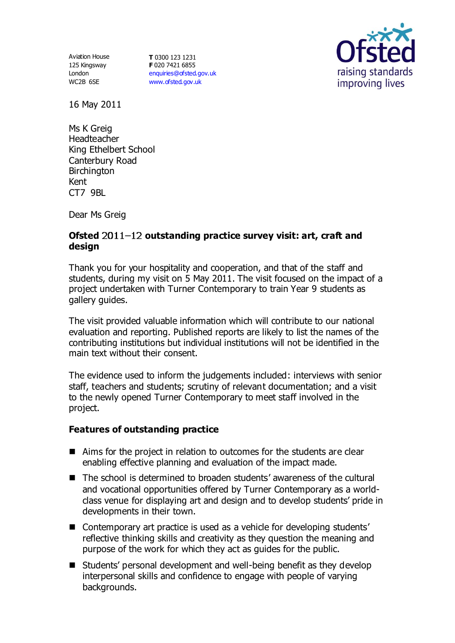Aviation House 125 Kingsway London WC2B 6SE

**T** 0300 123 1231 **F** 020 7421 6855 [enquiries@ofsted.gov.uk](mailto:enquiries@ofsted.gov.uk) [www.ofsted.gov.uk](http://www.ofsted.gov.uk/)



16 May 2011

Ms K Greig Headteacher King Ethelbert School Canterbury Road Birchington Kent CT7 9BL

Dear Ms Greig

## Ofsted 2011-12 outstanding practice survey visit: art, craft and **design**

Thank you for your hospitality and cooperation, and that of the staff and students, during my visit on 5 May 2011. The visit focused on the impact of a project undertaken with Turner Contemporary to train Year 9 students as gallery guides.

The visit provided valuable information which will contribute to our national evaluation and reporting. Published reports are likely to list the names of the contributing institutions but individual institutions will not be identified in the main text without their consent.

The evidence used to inform the judgements included: interviews with senior staff, teachers and students; scrutiny of relevant documentation; and a visit to the newly opened Turner Contemporary to meet staff involved in the project.

## **Features of outstanding practice**

- Aims for the project in relation to outcomes for the students are clear enabling effective planning and evaluation of the impact made.
- The school is determined to broaden students' awareness of the cultural and vocational opportunities offered by Turner Contemporary as a worldclass venue for displaying art and design and to develop students' pride in developments in their town.
- Contemporary art practice is used as a vehicle for developing students' reflective thinking skills and creativity as they question the meaning and purpose of the work for which they act as guides for the public.
- Students' personal development and well-being benefit as they develop interpersonal skills and confidence to engage with people of varying backgrounds.